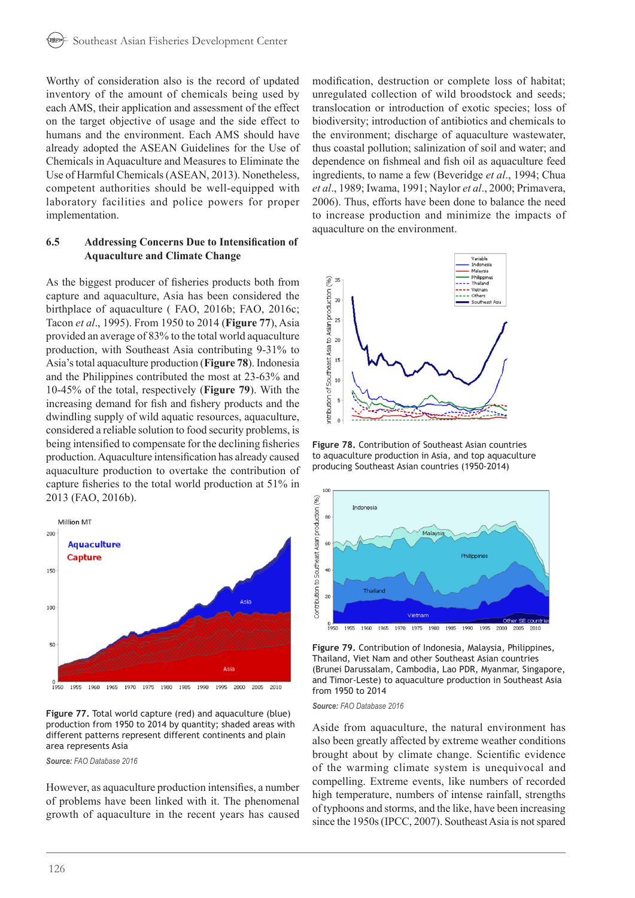Worthy of consideration also is the record of updated inventory of the amount of chemicals being used by each AMS, their application and assessment of the effect on the target objective of usage and the side effect to humans and the environment. Each AMS should have already adopted the ASEAN Guidelines for the Use of Chemicals in Aquaculture and Measures to Eliminate the Use of Harmful Chemicals (ASEAN, 2013). Nonetheless, competent authorities should be well-equipped with laboratory facilities and police powers for proper implementation.

### **6.5 Addressing Concerns Due to Intensification of Aquaculture and Climate Change**

As the biggest producer of fisheries products both from capture and aquaculture, Asia has been considered the birthplace of aquaculture ( FAO, 2016b; FAO, 2016c; Tacon *et al*., 1995). From 1950 to 2014 (**Figure 77**), Asia provided an average of 83% to the total world aquaculture production, with Southeast Asia contributing 9-31% to Asia's total aquaculture production (**Figure 78**). Indonesia and the Philippines contributed the most at 23-63% and 10-45% of the total, respectively (**Figure 79**). With the increasing demand for fish and fishery products and the dwindling supply of wild aquatic resources, aquaculture, considered a reliable solution to food security problems, is being intensified to compensate for the declining fisheries production. Aquaculture intensification has already caused aquaculture production to overtake the contribution of capture fisheries to the total world production at 51% in 2013 (FAO, 2016b).



**Figure 77.** Total world capture (red) and aquaculture (blue) production from 1950 to 2014 by quantity; shaded areas with different patterns represent different continents and plain area represents Asia

*Source: FAO Database 2016*

However, as aquaculture production intensifies, a number of problems have been linked with it. The phenomenal growth of aquaculture in the recent years has caused modification, destruction or complete loss of habitat; unregulated collection of wild broodstock and seeds; translocation or introduction of exotic species; loss of biodiversity; introduction of antibiotics and chemicals to the environment; discharge of aquaculture wastewater, thus coastal pollution; salinization of soil and water; and dependence on fishmeal and fish oil as aquaculture feed ingredients, to name a few (Beveridge *et al*., 1994; Chua *et al*., 1989; Iwama, 1991; Naylor *et al*., 2000; Primavera, 2006). Thus, efforts have been done to balance the need to increase production and minimize the impacts of aquaculture on the environment.



**Figure 78.** Contribution of Southeast Asian countries to aquaculture production in Asia, and top aquaculture producing Southeast Asian countries (1950-2014)



**Figure 79.** Contribution of Indonesia, Malaysia, Philippines, Thailand, Viet Nam and other Southeast Asian countries (Brunei Darussalam, Cambodia, Lao PDR, Myanmar, Singapore, and Timor-Leste) to aquaculture production in Southeast Asia from 1950 to 2014

*Source: FAO Database 2016*

Aside from aquaculture, the natural environment has also been greatly affected by extreme weather conditions brought about by climate change. Scientific evidence of the warming climate system is unequivocal and compelling. Extreme events, like numbers of recorded high temperature, numbers of intense rainfall, strengths of typhoons and storms, and the like, have been increasing since the 1950s (IPCC, 2007). Southeast Asia is not spared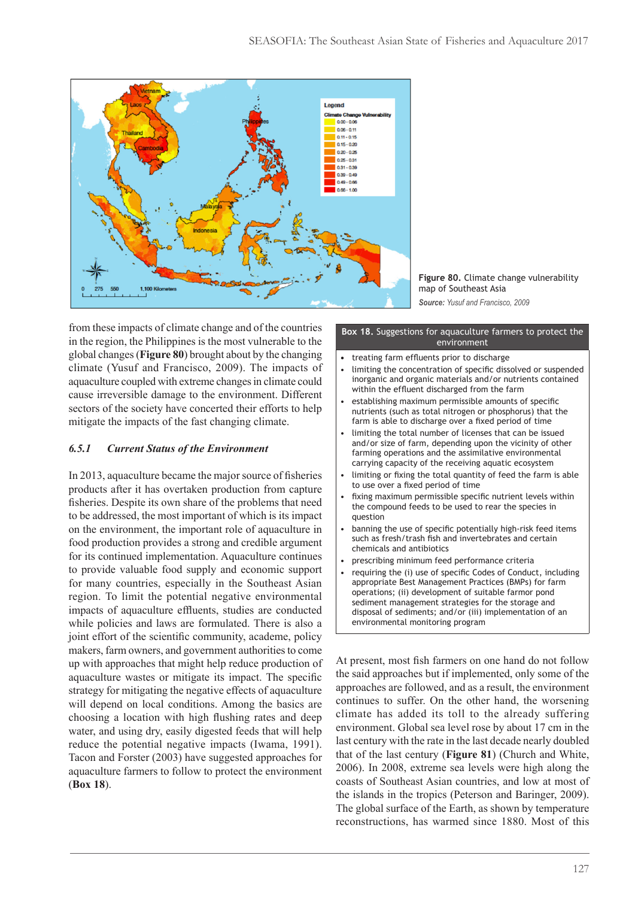

**Figure 80.** Climate change vulnerability map of Southeast Asia *Source: Yusuf and Francisco, 2009*

from these impacts of climate change and of the countries in the region, the Philippines is the most vulnerable to the global changes (**Figure 80**) brought about by the changing climate (Yusuf and Francisco, 2009). The impacts of aquaculture coupled with extreme changes in climate could cause irreversible damage to the environment. Different sectors of the society have concerted their efforts to help mitigate the impacts of the fast changing climate.

# *6.5.1 Current Status of the Environment*

In 2013, aquaculture became the major source of fisheries products after it has overtaken production from capture fisheries. Despite its own share of the problems that need to be addressed, the most important of which is its impact on the environment, the important role of aquaculture in food production provides a strong and credible argument for its continued implementation. Aquaculture continues to provide valuable food supply and economic support for many countries, especially in the Southeast Asian region. To limit the potential negative environmental impacts of aquaculture effluents, studies are conducted while policies and laws are formulated. There is also a joint effort of the scientific community, academe, policy makers, farm owners, and government authorities to come up with approaches that might help reduce production of aquaculture wastes or mitigate its impact. The specific strategy for mitigating the negative effects of aquaculture will depend on local conditions. Among the basics are choosing a location with high flushing rates and deep water, and using dry, easily digested feeds that will help reduce the potential negative impacts (Iwama, 1991). Tacon and Forster (2003) have suggested approaches for aquaculture farmers to follow to protect the environment (**Box 18**).

#### **Box 18.** Suggestions for aquaculture farmers to protect the environment

- **•** treating farm effluents prior to discharge
- limiting the concentration of specific dissolved or suspended inorganic and organic materials and/or nutrients contained within the effluent discharged from the farm
- establishing maximum permissible amounts of specific nutrients (such as total nitrogen or phosphorus) that the farm is able to discharge over a fixed period of time
- limiting the total number of licenses that can be issued and/or size of farm, depending upon the vicinity of other farming operations and the assimilative environmental carrying capacity of the receiving aquatic ecosystem
- limiting or fixing the total quantity of feed the farm is able to use over a fixed period of time
- fixing maximum permissible specific nutrient levels within the compound feeds to be used to rear the species in question
- banning the use of specific potentially high-risk feed items such as fresh/trash fish and invertebrates and certain chemicals and antibiotics
- prescribing minimum feed performance criteria
- requiring the (i) use of specific Codes of Conduct, including appropriate Best Management Practices (BMPs) for farm operations; (ii) development of suitable farmor pond sediment management strategies for the storage and disposal of sediments; and/or (iii) implementation of an environmental monitoring program

At present, most fish farmers on one hand do not follow the said approaches but if implemented, only some of the approaches are followed, and as a result, the environment continues to suffer. On the other hand, the worsening climate has added its toll to the already suffering environment. Global sea level rose by about 17 cm in the last century with the rate in the last decade nearly doubled that of the last century (**Figure 81**) (Church and White, 2006). In 2008, extreme sea levels were high along the coasts of Southeast Asian countries, and low at most of the islands in the tropics (Peterson and Baringer, 2009). The global surface of the Earth, as shown by temperature reconstructions, has warmed since 1880. Most of this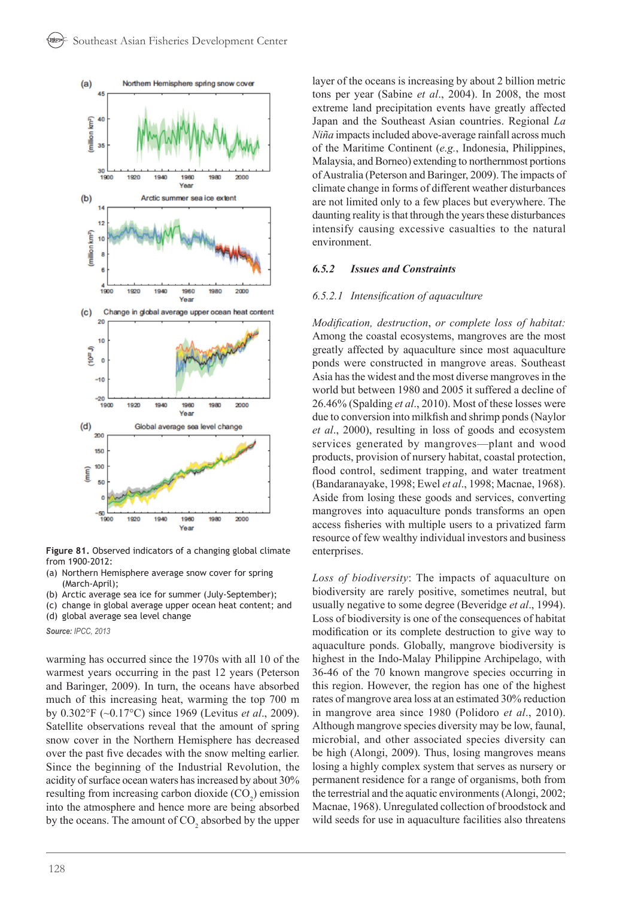

**Figure 81.** Observed indicators of a changing global climate from 1900-2012:

- (a) Northern Hemisphere average snow cover for spring (March-April);
- (b) Arctic average sea ice for summer (July-September);
- (c) change in global average upper ocean heat content; and

(d) global average sea level change

*Source: IPCC, 2013*

warming has occurred since the 1970s with all 10 of the warmest years occurring in the past 12 years (Peterson and Baringer, 2009). In turn, the oceans have absorbed much of this increasing heat, warming the top 700 m by 0.302°F (~0.17°C) since 1969 (Levitus *et al*., 2009). Satellite observations reveal that the amount of spring snow cover in the Northern Hemisphere has decreased over the past five decades with the snow melting earlier. Since the beginning of the Industrial Revolution, the acidity of surface ocean waters has increased by about 30% resulting from increasing carbon dioxide  $(CO_2)$  emission into the atmosphere and hence more are being absorbed by the oceans. The amount of  $CO_2$  absorbed by the upper layer of the oceans is increasing by about 2 billion metric tons per year (Sabine *et al*., 2004). In 2008, the most extreme land precipitation events have greatly affected Japan and the Southeast Asian countries. Regional *La Niña* impacts included above-average rainfall across much of the Maritime Continent (*e.g.*, Indonesia, Philippines, Malaysia, and Borneo) extending to northernmost portions of Australia (Peterson and Baringer, 2009). The impacts of climate change in forms of different weather disturbances are not limited only to a few places but everywhere. The daunting reality is that through the years these disturbances intensify causing excessive casualties to the natural environment.

### *6.5.2 Issues and Constraints*

### *6.5.2.1 Intensification of aquaculture*

*Modification, destruction*, *or complete loss of habitat:* Among the coastal ecosystems, mangroves are the most greatly affected by aquaculture since most aquaculture ponds were constructed in mangrove areas. Southeast Asia has the widest and the most diverse mangroves in the world but between 1980 and 2005 it suffered a decline of 26.46% (Spalding *et al*., 2010). Most of these losses were due to conversion into milkfish and shrimp ponds (Naylor *et al*., 2000), resulting in loss of goods and ecosystem services generated by mangroves—plant and wood products, provision of nursery habitat, coastal protection, flood control, sediment trapping, and water treatment (Bandaranayake, 1998; Ewel *et al*., 1998; Macnae, 1968). Aside from losing these goods and services, converting mangroves into aquaculture ponds transforms an open access fisheries with multiple users to a privatized farm resource of few wealthy individual investors and business enterprises.

*Loss of biodiversity*: The impacts of aquaculture on biodiversity are rarely positive, sometimes neutral, but usually negative to some degree (Beveridge *et al*., 1994). Loss of biodiversity is one of the consequences of habitat modification or its complete destruction to give way to aquaculture ponds. Globally, mangrove biodiversity is highest in the Indo-Malay Philippine Archipelago, with 36-46 of the 70 known mangrove species occurring in this region. However, the region has one of the highest rates of mangrove area loss at an estimated 30% reduction in mangrove area since 1980 (Polidoro *et al*., 2010). Although mangrove species diversity may be low, faunal, microbial, and other associated species diversity can be high (Alongi, 2009). Thus, losing mangroves means losing a highly complex system that serves as nursery or permanent residence for a range of organisms, both from the terrestrial and the aquatic environments (Alongi, 2002; Macnae, 1968). Unregulated collection of broodstock and wild seeds for use in aquaculture facilities also threatens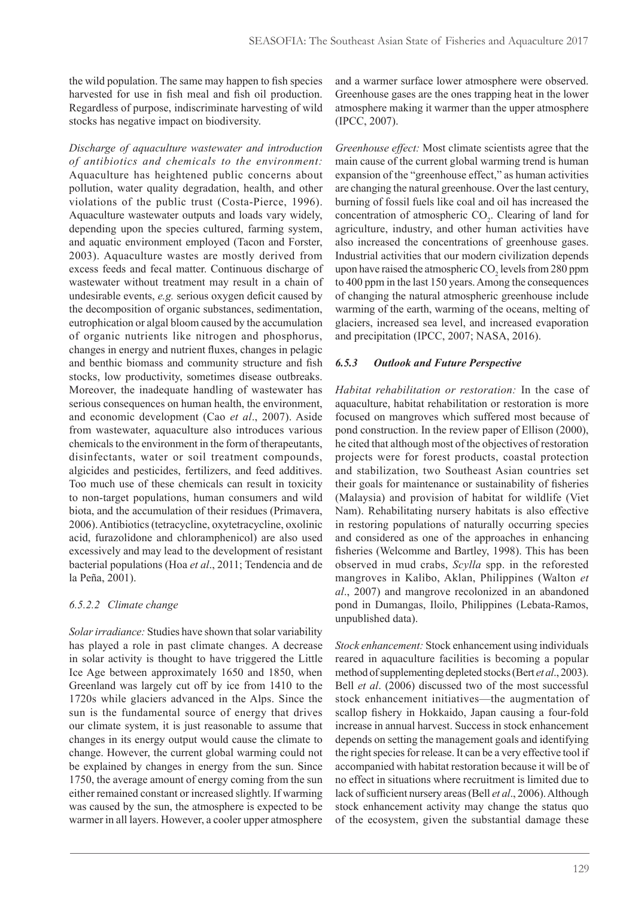the wild population. The same may happen to fish species harvested for use in fish meal and fish oil production. Regardless of purpose, indiscriminate harvesting of wild stocks has negative impact on biodiversity.

*Discharge of aquaculture wastewater and introduction of antibiotics and chemicals to the environment:* Aquaculture has heightened public concerns about pollution, water quality degradation, health, and other violations of the public trust (Costa-Pierce, 1996). Aquaculture wastewater outputs and loads vary widely, depending upon the species cultured, farming system, and aquatic environment employed (Tacon and Forster, 2003). Aquaculture wastes are mostly derived from excess feeds and fecal matter. Continuous discharge of wastewater without treatment may result in a chain of undesirable events, *e.g.* serious oxygen deficit caused by the decomposition of organic substances, sedimentation, eutrophication or algal bloom caused by the accumulation of organic nutrients like nitrogen and phosphorus, changes in energy and nutrient fluxes, changes in pelagic and benthic biomass and community structure and fish stocks, low productivity, sometimes disease outbreaks. Moreover, the inadequate handling of wastewater has serious consequences on human health, the environment, and economic development (Cao *et al*., 2007). Aside from wastewater, aquaculture also introduces various chemicals to the environment in the form of therapeutants, disinfectants, water or soil treatment compounds, algicides and pesticides, fertilizers, and feed additives. Too much use of these chemicals can result in toxicity to non-target populations, human consumers and wild biota, and the accumulation of their residues (Primavera, 2006). Antibiotics (tetracycline, oxytetracycline, oxolinic acid, furazolidone and chloramphenicol) are also used excessively and may lead to the development of resistant bacterial populations (Hoa *et al*., 2011; Tendencia and de la Peña, 2001).

# *6.5.2.2 Climate change*

*Solar irradiance:* Studies have shown that solar variability has played a role in past climate changes. A decrease in solar activity is thought to have triggered the Little Ice Age between approximately 1650 and 1850, when Greenland was largely cut off by ice from 1410 to the 1720s while glaciers advanced in the Alps. Since the sun is the fundamental source of energy that drives our climate system, it is just reasonable to assume that changes in its energy output would cause the climate to change. However, the current global warming could not be explained by changes in energy from the sun. Since 1750, the average amount of energy coming from the sun either remained constant or increased slightly. If warming was caused by the sun, the atmosphere is expected to be warmer in all layers. However, a cooler upper atmosphere

and a warmer surface lower atmosphere were observed. Greenhouse gases are the ones trapping heat in the lower atmosphere making it warmer than the upper atmosphere (IPCC, 2007).

*Greenhouse effect:* Most climate scientists agree that the main cause of the current global warming trend is human expansion of the "greenhouse effect," as human activities are changing the natural greenhouse. Over the last century, burning of fossil fuels like coal and oil has increased the concentration of atmospheric  $CO<sub>2</sub>$ . Clearing of land for agriculture, industry, and other human activities have also increased the concentrations of greenhouse gases. Industrial activities that our modern civilization depends upon have raised the atmospheric  $CO<sub>2</sub>$  levels from 280 ppm to 400 ppm in the last 150 years. Among the consequences of changing the natural atmospheric greenhouse include warming of the earth, warming of the oceans, melting of glaciers, increased sea level, and increased evaporation and precipitation (IPCC, 2007; NASA, 2016).

## *6.5.3 Outlook and Future Perspective*

*Habitat rehabilitation or restoration:* In the case of aquaculture, habitat rehabilitation or restoration is more focused on mangroves which suffered most because of pond construction. In the review paper of Ellison (2000), he cited that although most of the objectives of restoration projects were for forest products, coastal protection and stabilization, two Southeast Asian countries set their goals for maintenance or sustainability of fisheries (Malaysia) and provision of habitat for wildlife (Viet Nam). Rehabilitating nursery habitats is also effective in restoring populations of naturally occurring species and considered as one of the approaches in enhancing fisheries (Welcomme and Bartley, 1998). This has been observed in mud crabs, *Scylla* spp. in the reforested mangroves in Kalibo, Aklan, Philippines (Walton *et al*., 2007) and mangrove recolonized in an abandoned pond in Dumangas, Iloilo, Philippines (Lebata-Ramos, unpublished data).

*Stock enhancement:* Stock enhancement using individuals reared in aquaculture facilities is becoming a popular method of supplementing depleted stocks (Bert *et al*., 2003). Bell *et al*. (2006) discussed two of the most successful stock enhancement initiatives—the augmentation of scallop fishery in Hokkaido, Japan causing a four-fold increase in annual harvest. Success in stock enhancement depends on setting the management goals and identifying the right species for release. It can be a very effective tool if accompanied with habitat restoration because it will be of no effect in situations where recruitment is limited due to lack of sufficient nursery areas (Bell *et al*., 2006). Although stock enhancement activity may change the status quo of the ecosystem, given the substantial damage these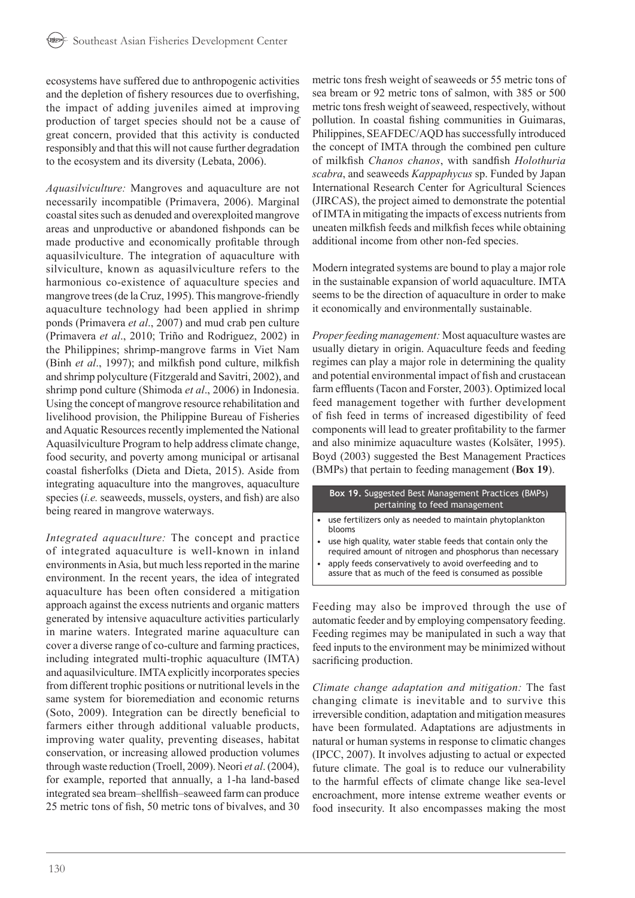ecosystems have suffered due to anthropogenic activities and the depletion of fishery resources due to overfishing, the impact of adding juveniles aimed at improving production of target species should not be a cause of great concern, provided that this activity is conducted responsibly and that this will not cause further degradation to the ecosystem and its diversity (Lebata, 2006).

*Aquasilviculture:* Mangroves and aquaculture are not necessarily incompatible (Primavera, 2006). Marginal coastal sites such as denuded and overexploited mangrove areas and unproductive or abandoned fishponds can be made productive and economically profitable through aquasilviculture. The integration of aquaculture with silviculture, known as aquasilviculture refers to the harmonious co-existence of aquaculture species and mangrove trees (de la Cruz, 1995). This mangrove-friendly aquaculture technology had been applied in shrimp ponds (Primavera *et al*., 2007) and mud crab pen culture (Primavera *et al*., 2010; Triño and Rodriguez, 2002) in the Philippines; shrimp-mangrove farms in Viet Nam (Binh *et al*., 1997); and milkfish pond culture, milkfish and shrimp polyculture (Fitzgerald and Savitri, 2002), and shrimp pond culture (Shimoda *et al*., 2006) in Indonesia. Using the concept of mangrove resource rehabilitation and livelihood provision, the Philippine Bureau of Fisheries and Aquatic Resources recently implemented the National Aquasilviculture Program to help address climate change, food security, and poverty among municipal or artisanal coastal fisherfolks (Dieta and Dieta, 2015). Aside from integrating aquaculture into the mangroves, aquaculture species (*i.e.* seaweeds, mussels, oysters, and fish) are also being reared in mangrove waterways.

*Integrated aquaculture:* The concept and practice of integrated aquaculture is well-known in inland environments in Asia, but much less reported in the marine environment. In the recent years, the idea of integrated aquaculture has been often considered a mitigation approach against the excess nutrients and organic matters generated by intensive aquaculture activities particularly in marine waters. Integrated marine aquaculture can cover a diverse range of co-culture and farming practices, including integrated multi-trophic aquaculture (IMTA) and aquasilviculture. IMTA explicitly incorporates species from different trophic positions or nutritional levels in the same system for bioremediation and economic returns (Soto, 2009). Integration can be directly beneficial to farmers either through additional valuable products, improving water quality, preventing diseases, habitat conservation, or increasing allowed production volumes through waste reduction (Troell, 2009). Neori *et al*. (2004), for example, reported that annually, a 1-ha land-based integrated sea bream–shellfish–seaweed farm can produce 25 metric tons of fish, 50 metric tons of bivalves, and 30 metric tons fresh weight of seaweeds or 55 metric tons of sea bream or 92 metric tons of salmon, with 385 or 500 metric tons fresh weight of seaweed, respectively, without pollution. In coastal fishing communities in Guimaras, Philippines, SEAFDEC/AQD has successfully introduced the concept of IMTA through the combined pen culture of milkfish *Chanos chanos*, with sandfish *Holothuria scabra*, and seaweeds *Kappaphycus* sp. Funded by Japan International Research Center for Agricultural Sciences (JIRCAS), the project aimed to demonstrate the potential of IMTA in mitigating the impacts of excess nutrients from uneaten milkfish feeds and milkfish feces while obtaining additional income from other non-fed species.

Modern integrated systems are bound to play a major role in the sustainable expansion of world aquaculture. IMTA seems to be the direction of aquaculture in order to make it economically and environmentally sustainable.

*Proper feeding management:* Most aquaculture wastes are usually dietary in origin. Aquaculture feeds and feeding regimes can play a major role in determining the quality and potential environmental impact of fish and crustacean farm effluents (Tacon and Forster, 2003). Optimized local feed management together with further development of fish feed in terms of increased digestibility of feed components will lead to greater profitability to the farmer and also minimize aquaculture wastes (Kolsäter, 1995). Boyd (2003) suggested the Best Management Practices (BMPs) that pertain to feeding management (**Box 19**).

**Box 19.** Suggested Best Management Practices (BMPs) pertaining to feed management

- **•** use fertilizers only as needed to maintain phytoplankton blooms
- use high quality, water stable feeds that contain only the required amount of nitrogen and phosphorus than necessary
- apply feeds conservatively to avoid overfeeding and to assure that as much of the feed is consumed as possible

Feeding may also be improved through the use of automatic feeder and by employing compensatory feeding. Feeding regimes may be manipulated in such a way that feed inputs to the environment may be minimized without sacrificing production.

*Climate change adaptation and mitigation:* The fast changing climate is inevitable and to survive this irreversible condition, adaptation and mitigation measures have been formulated. Adaptations are adjustments in natural or human systems in response to climatic changes (IPCC, 2007). It involves adjusting to actual or expected future climate. The goal is to reduce our vulnerability to the harmful effects of climate change like sea-level encroachment, more intense extreme weather events or food insecurity. It also encompasses making the most